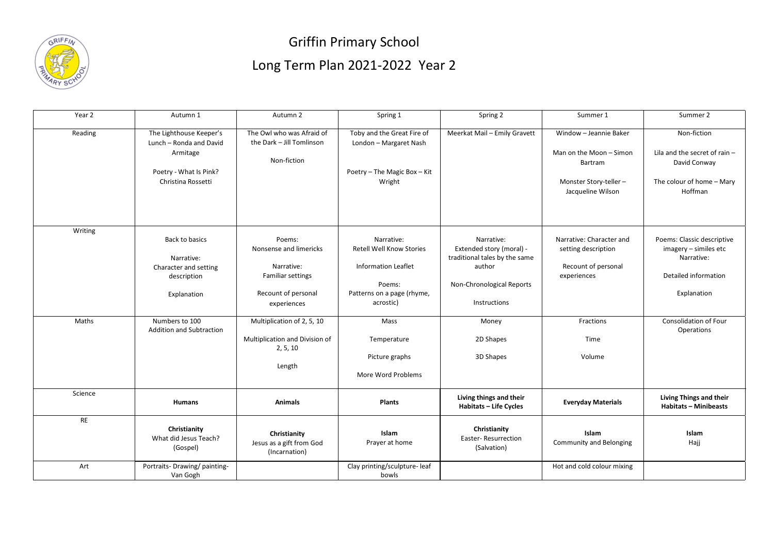

## Griffin Primary School Long Term Plan 2021-2022 Year 2

| Year 2    | Autumn 1                                                                                                       | Autumn 2                                                                                                  | Spring 1                                                                                                                         | Spring 2                                                                                                                              | Summer 1                                                                                                          | Summer 2                                                                                                 |
|-----------|----------------------------------------------------------------------------------------------------------------|-----------------------------------------------------------------------------------------------------------|----------------------------------------------------------------------------------------------------------------------------------|---------------------------------------------------------------------------------------------------------------------------------------|-------------------------------------------------------------------------------------------------------------------|----------------------------------------------------------------------------------------------------------|
| Reading   | The Lighthouse Keeper's<br>Lunch - Ronda and David<br>Armitage<br>Poetry - What Is Pink?<br>Christina Rossetti | The Owl who was Afraid of<br>the Dark - Jill Tomlinson<br>Non-fiction                                     | Toby and the Great Fire of<br>London - Margaret Nash<br>Poetry - The Magic Box - Kit<br>Wright                                   | Meerkat Mail - Emily Gravett                                                                                                          | Window - Jeannie Baker<br>Man on the Moon - Simon<br><b>Bartram</b><br>Monster Story-teller-<br>Jacqueline Wilson | Non-fiction<br>Lila and the secret of rain -<br>David Conway<br>The colour of home - Mary<br>Hoffman     |
| Writing   | Back to basics<br>Narrative:<br>Character and setting<br>description<br>Explanation                            | Poems:<br>Nonsense and limericks<br>Narrative:<br>Familiar settings<br>Recount of personal<br>experiences | Narrative:<br><b>Retell Well Know Stories</b><br><b>Information Leaflet</b><br>Poems:<br>Patterns on a page (rhyme,<br>acrostic) | Narrative:<br>Extended story (moral) -<br>traditional tales by the same<br>author<br>Non-Chronological Reports<br><b>Instructions</b> | Narrative: Character and<br>setting description<br>Recount of personal<br>experiences                             | Poems: Classic descriptive<br>imagery - similes etc<br>Narrative:<br>Detailed information<br>Explanation |
| Maths     | Numbers to 100<br><b>Addition and Subtraction</b>                                                              | Multiplication of 2, 5, 10<br>Multiplication and Division of<br>2, 5, 10<br>Length                        | Mass<br>Temperature<br>Picture graphs<br>More Word Problems                                                                      | Money<br>2D Shapes<br>3D Shapes                                                                                                       | Fractions<br>Time<br>Volume                                                                                       | <b>Consolidation of Four</b><br>Operations                                                               |
| Science   | <b>Humans</b>                                                                                                  | <b>Animals</b>                                                                                            | <b>Plants</b>                                                                                                                    | Living things and their<br><b>Habitats - Life Cycles</b>                                                                              | <b>Everyday Materials</b>                                                                                         | Living Things and their<br><b>Habitats - Minibeasts</b>                                                  |
| <b>RE</b> | Christianity<br>What did Jesus Teach?<br>(Gospel)                                                              | Christianity<br>Jesus as a gift from God<br>(Incarnation)                                                 | <b>Islam</b><br>Prayer at home                                                                                                   | Christianity<br><b>Easter-Resurrection</b><br>(Salvation)                                                                             | Islam<br><b>Community and Belonging</b>                                                                           | Islam<br>Hajj                                                                                            |
| Art       | Portraits-Drawing/painting-<br>Van Gogh                                                                        |                                                                                                           | Clay printing/sculpture-leaf<br>bowls                                                                                            |                                                                                                                                       | Hot and cold colour mixing                                                                                        |                                                                                                          |